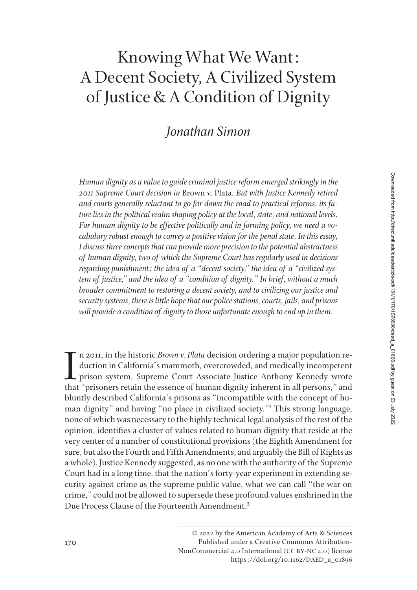## Knowing What We Want: A Decent Society, A Civilized System of Justice & A Condition of Dignity

## *Jonathan Simon*

*Human dignity as a value to guide criminal justice reform emerged strikingly in the 2011 Supreme Court decision in* Brown v. Plata*. But with Justice Kennedy retired and courts generally reluctant to go far down the road to practical reforms, its future lies in the political realm shaping policy at the local, state, and national levels. For human dignity to be effective politically and in forming policy, we need a vocabulary robust enough to convey a positive vision for the penal state. In this essay, I discuss three concepts that can provide more precision to the potential abstractness of human dignity, two of which the Supreme Court has regularly used in decisions regarding punishment: the idea of a "decent society," the idea of a "civilized system of justice," and the idea of a "condition of dignity." In brief, without a much broader commitment to restoring a decent society, and to civilizing our justice and security systems, there is little hope that our police stations, courts, jails, and prisons will provide a condition of dignity to those unfortunate enough to end up in them.* 

In 2011, in the historic *Brown v. Plata* decision ordering a major population reduction in California's mammoth, overcrowded, and medically incompetent prison system, Supreme Court Associate Justice Anthony Kennedy wrote n 2011, in the historic *Brown v. Plata* decision ordering a major population reduction in California's mammoth, overcrowded, and medically incompetent prison system, Supreme Court Associate Justice Anthony Kennedy wrote bluntly described California's prisons as "incompatible with the concept of human dignity" and having "no place in civilized society."1 This strong language, none of which was necessary to the highly technical legal analysis of the rest of the opinion, identifies a cluster of values related to human dignity that reside at the very center of a number of constitutional provisions (the Eighth Amendment for sure, but also the Fourth and Fifth Amendments, and arguably the Bill of Rights as a whole). Justice Kennedy suggested, as no one with the authority of the Supreme Court had in a long time, that the nation's forty-year experiment in extending security against crime as the supreme public value, what we can call "the war on crime," could not be allowed to supersede these profound values enshrined in the Due Process Clause of the Fourteenth Amendment.2

<sup>© 2022</sup> by the American Academy of Arts & Sciences Published under a Creative Commons Attribution-NonCommercial 4.0 International (CC BY-NC 4.0) license https://doi.org/10.1162/DAED\_a\_01896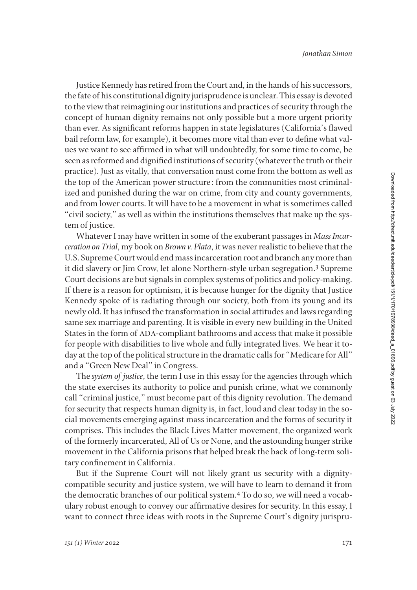Justice Kennedy has retired from the Court and, in the hands of his successors, the fate of his constitutional dignity jurisprudence is unclear. This essay is devoted to the view that reimagining our institutions and practices of security through the concept of human dignity remains not only possible but a more urgent priority than ever. As significant reforms happen in state legislatures (California's flawed bail reform law, for example), it becomes more vital than ever to define what values we want to see affirmed in what will undoubtedly, for some time to come, be seen as reformed and dignified institutions of security (whatever the truth or their practice). Just as vitally, that conversation must come from the bottom as well as the top of the American power structure: from the communities most criminalized and punished during the war on crime, from city and county governments, and from lower courts. It will have to be a movement in what is sometimes called "civil society," as well as within the institutions themselves that make up the system of justice.

Whatever I may have written in some of the exuberant passages in *Mass Incarceration on Trial*, my book on *Brown v. Plata*, it was never realistic to believe that the U.S. Supreme Court would end mass incarceration root and branch any more than it did slavery or Jim Crow, let alone Northern-style urban segregation.<sup>3</sup> Supreme Court decisions are but signals in complex systems of politics and policy-making. If there is a reason for optimism, it is because hunger for the dignity that Justice Kennedy spoke of is radiating through our society, both from its young and its newly old. It has infused the transformation in social attitudes and laws regarding same sex marriage and parenting. It is visible in every new building in the United States in the form of ADA-compliant bathrooms and access that make it possible for people with disabilities to live whole and fully integrated lives. We hear it today at the top of the political structure in the dramatic calls for "Medicare for All" and a "Green New Deal" in Congress.

The *system of justice*, the term I use in this essay for the agencies through which the state exercises its authority to police and punish crime, what we commonly call "criminal justice," must become part of this dignity revolution. The demand for security that respects human dignity is, in fact, loud and clear today in the social movements emerging against mass incarceration and the forms of security it comprises. This includes the Black Lives Matter movement, the organized work of the formerly incarcerated, All of Us or None, and the astounding hunger strike movement in the California prisons that helped break the back of long-term solitary confinement in California.

But if the Supreme Court will not likely grant us security with a dignitycompatible security and justice system, we will have to learn to demand it from the democratic branches of our political system.4 To do so, we will need a vocabulary robust enough to convey our affirmative desires for security. In this essay, I want to connect three ideas with roots in the Supreme Court's dignity jurispru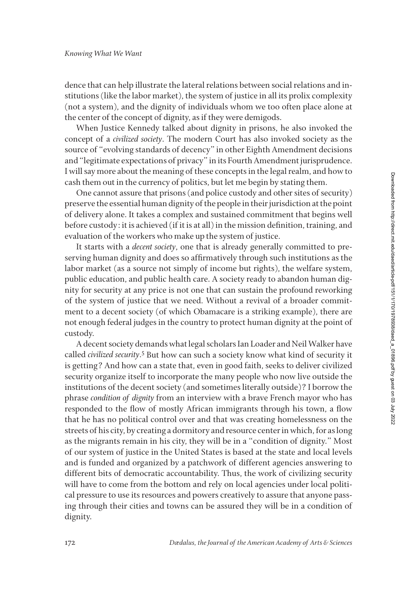dence that can help illustrate the lateral relations between social relations and institutions (like the labor market), the system of justice in all its prolix complexity (not a system), and the dignity of individuals whom we too often place alone at the center of the concept of dignity, as if they were demigods.

When Justice Kennedy talked about dignity in prisons, he also invoked the concept of a *civilized society*. The modern Court has also invoked society as the source of "evolving standards of decency" in other Eighth Amendment decisions and "legitimate expectations of privacy" in its Fourth Amendment jurisprudence. I will say more about the meaning of these concepts in the legal realm, and how to cash them out in the currency of politics, but let me begin by stating them.

One cannot assure that prisons (and police custody and other sites of security) preserve the essential human dignity of the people in their jurisdiction at the point of delivery alone. It takes a complex and sustained commitment that begins well before custody: it is achieved (if it is at all) in the mission definition, training, and evaluation of the workers who make up the system of justice.

It starts with a *decent society*, one that is already generally committed to preserving human dignity and does so affirmatively through such institutions as the labor market (as a source not simply of income but rights), the welfare system, public education, and public health care. A society ready to abandon human dignity for security at any price is not one that can sustain the profound reworking of the system of justice that we need. Without a revival of a broader commitment to a decent society (of which Obamacare is a striking example), there are not enough federal judges in the country to protect human dignity at the point of custody.

A decent society demands what legal scholars Ian Loader and Neil Walker have called *civilized security*.<sup>5</sup> But how can such a society know what kind of security it is getting? And how can a state that, even in good faith, seeks to deliver civilized security organize itself to incorporate the many people who now live outside the institutions of the decent society (and sometimes literally outside)? I borrow the phrase *condition of dignity* from an interview with a brave French mayor who has responded to the flow of mostly African immigrants through his town, a flow that he has no political control over and that was creating homelessness on the streets of his city, by creating a dormitory and resource center in which, for as long as the migrants remain in his city, they will be in a "condition of dignity." Most of our system of justice in the United States is based at the state and local levels and is funded and organized by a patchwork of different agencies answering to different bits of democratic accountability. Thus, the work of civilizing security will have to come from the bottom and rely on local agencies under local political pressure to use its resources and powers creatively to assure that anyone passing through their cities and towns can be assured they will be in a condition of dignity.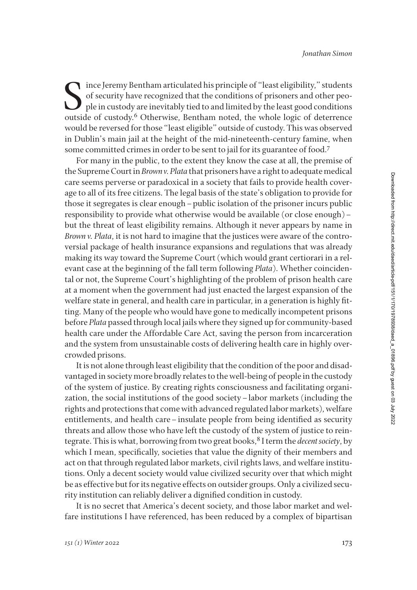$\bigcap$  ince Jeremy Bentham articulated his principle of "least eligibility," students of security have recognized that the conditions of prisoners and other people in custody are inevitably tied to and limited by the least good conditions outside of custody.6 Otherwise, Bentham noted, the whole logic of deterrence would be reversed for those "least eligible" outside of custody. This was observed in Dublin's main jail at the height of the mid-nineteenth-century famine, when some committed crimes in order to be sent to jail for its guarantee of food.7

For many in the public, to the extent they know the case at all, the premise of the Supreme Court in *Brown v. Plata* that prisoners have a right to adequate medical care seems perverse or paradoxical in a society that fails to provide health coverage to all of its free citizens. The legal basis of the state's obligation to provide for those it segregates is clear enough–public isolation of the prisoner incurs public responsibility to provide what otherwise would be available (or close enough)– but the threat of least eligibility remains. Although it never appears by name in *Brown v. Plata*, it is not hard to imagine that the justices were aware of the controversial package of health insurance expansions and regulations that was already making its way toward the Supreme Court (which would grant certiorari in a relevant case at the beginning of the fall term following *Plata*). Whether coincidental or not, the Supreme Court's highlighting of the problem of prison health care at a moment when the government had just enacted the largest expansion of the welfare state in general, and health care in particular, in a generation is highly fitting. Many of the people who would have gone to medically incompetent prisons before *Plata* passed through local jails where they signed up for community-based health care under the Affordable Care Act, saving the person from incarceration and the system from unsustainable costs of delivering health care in highly overcrowded prisons.

It is not alone through least eligibility that the condition of the poor and disadvantaged in society more broadly relates to the well-being of people in the custody of the system of justice. By creating rights consciousness and facilitating organization, the social institutions of the good society–labor markets (including the rights and protections that come with advanced regulated labor markets), welfare entitlements, and health care–insulate people from being identified as security threats and allow those who have left the custody of the system of justice to reintegrate. This is what, borrowing from two great books, <sup>8</sup> I term the *decent society*, by which I mean, specifically, societies that value the dignity of their members and act on that through regulated labor markets, civil rights laws, and welfare institutions. Only a decent society would value civilized security over that which might be as effective but for its negative effects on outsider groups. Only a civilized security institution can reliably deliver a dignified condition in custody.

It is no secret that America's decent society, and those labor market and welfare institutions I have referenced, has been reduced by a complex of bipartisan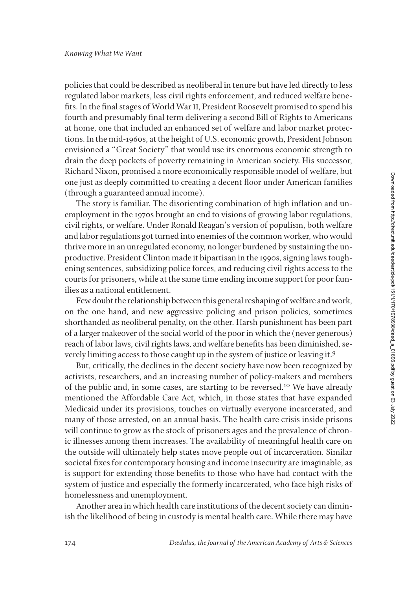policies that could be described as neoliberal in tenure but have led directly to less regulated labor markets, less civil rights enforcement, and reduced welfare benefits. In the final stages of World War II, President Roosevelt promised to spend his fourth and presumably final term delivering a second Bill of Rights to Americans at home, one that included an enhanced set of welfare and labor market protections. In the mid-1960s, at the height of U.S. economic growth, President Johnson envisioned a "Great Society" that would use its enormous economic strength to drain the deep pockets of poverty remaining in American society. His successor, Richard Nixon, promised a more economically responsible model of welfare, but one just as deeply committed to creating a decent floor under American families (through a guaranteed annual income).

The story is familiar. The disorienting combination of high inflation and unemployment in the 1970s brought an end to visions of growing labor regulations, civil rights, or welfare. Under Ronald Reagan's version of populism, both welfare and labor regulations got turned into enemies of the common worker, who would thrive more in an unregulated economy, no longer burdened by sustaining the unproductive. President Clinton made it bipartisan in the 1990s, signing laws toughening sentences, subsidizing police forces, and reducing civil rights access to the courts for prisoners, while at the same time ending income support for poor families as a national entitlement.

Few doubt the relationship between this general reshaping of welfare and work, on the one hand, and new aggressive policing and prison policies, sometimes shorthanded as neoliberal penalty, on the other. Harsh punishment has been part of a larger makeover of the social world of the poor in which the (never generous) reach of labor laws, civil rights laws, and welfare benefits has been diminished, severely limiting access to those caught up in the system of justice or leaving it.9

But, critically, the declines in the decent society have now been recognized by activists, researchers, and an increasing number of policy-makers and members of the public and, in some cases, are starting to be reversed.10 We have already mentioned the Affordable Care Act, which, in those states that have expanded Medicaid under its provisions, touches on virtually everyone incarcerated, and many of those arrested, on an annual basis. The health care crisis inside prisons will continue to grow as the stock of prisoners ages and the prevalence of chronic illnesses among them increases. The availability of meaningful health care on the outside will ultimately help states move people out of incarceration. Similar societal fixes for contemporary housing and income insecurity are imaginable, as is support for extending those benefits to those who have had contact with the system of justice and especially the formerly incarcerated, who face high risks of homelessness and unemployment.

Another area in which health care institutions of the decent society can diminish the likelihood of being in custody is mental health care. While there may have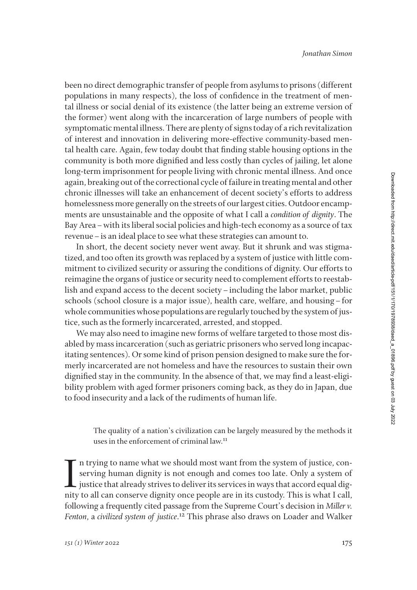been no direct demographic transfer of people from asylums to prisons (different populations in many respects), the loss of confidence in the treatment of mental illness or social denial of its existence (the latter being an extreme version of the former) went along with the incarceration of large numbers of people with symptomatic mental illness. There are plenty of signs today of a rich revitalization of interest and innovation in delivering more-effective community-based mental health care. Again, few today doubt that finding stable housing options in the community is both more dignified and less costly than cycles of jailing, let alone long-term imprisonment for people living with chronic mental illness. And once again, breaking out of the correctional cycle of failure in treating mental and other chronic illnesses will take an enhancement of decent society's efforts to address homelessness more generally on the streets of our largest cities. Outdoor encampments are unsustainable and the opposite of what I call a *condition of dignity*. The Bay Area–with its liberal social policies and high-tech economy as a source of tax revenue–is an ideal place to see what these strategies can amount to.

In short, the decent society never went away. But it shrunk and was stigmatized, and too often its growth was replaced by a system of justice with little commitment to civilized security or assuring the conditions of dignity. Our efforts to reimagine the organs of justice or security need to complement efforts to reestablish and expand access to the decent society–including the labor market, public schools (school closure is a major issue), health care, welfare, and housing–for whole communities whose populations are regularly touched by the system of justice, such as the formerly incarcerated, arrested, and stopped.

We may also need to imagine new forms of welfare targeted to those most disabled by mass incarceration (such as geriatric prisoners who served long incapacitating sentences). Or some kind of prison pension designed to make sure the formerly incarcerated are not homeless and have the resources to sustain their own dignified stay in the community. In the absence of that, we may find a least-eligibility problem with aged former prisoners coming back, as they do in Japan, due to food insecurity and a lack of the rudiments of human life.

The quality of a nation's civilization can be largely measured by the methods it uses in the enforcement of criminal law.<sup>11</sup>

I n trying to name what we should most want from the system of justice, conserving human dignity is not enough and comes too late. Only a system of justice that already strives to deliver its services in ways that accord equal dignity to all can conserve dignity once people are in its custody. This is what I call, following a frequently cited passage from the Supreme Court's decision in *Miller v. Fenton*, a *civilized system of justice*. 12 This phrase also draws on Loader and Walker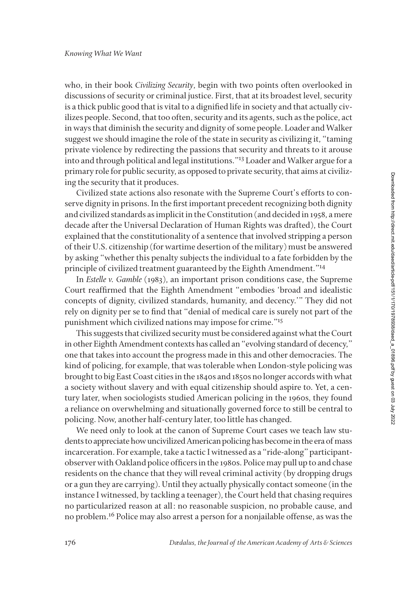who, in their book *Civilizing Security*, begin with two points often overlooked in discussions of security or criminal justice. First, that at its broadest level, security is a thick public good that is vital to a dignified life in society and that actually civilizes people. Second, that too often, security and its agents, such as the police, act in ways that diminish the security and dignity of some people. Loader and Walker suggest we should imagine the role of the state in security as civilizing it, "taming private violence by redirecting the passions that security and threats to it arouse into and through political and legal institutions."13 Loader and Walker argue for a primary role for public security, as opposed to private security, that aims at civilizing the security that it produces.

Civilized state actions also resonate with the Supreme Court's efforts to conserve dignity in prisons. In the first important precedent recognizing both dignity and civilized standards as implicit in the Constitution (and decided in 1958, a mere decade after the Universal Declaration of Human Rights was drafted), the Court explained that the constitutionality of a sentence that involved stripping a person of their U.S. citizenship (for wartime desertion of the military) must be answered by asking "whether this penalty subjects the individual to a fate forbidden by the principle of civilized treatment guaranteed by the Eighth Amendment."<sup>14</sup>

In *Estelle v. Gamble* (1983), an important prison conditions case, the Supreme Court reaffirmed that the Eighth Amendment "embodies 'broad and idealistic concepts of dignity, civilized standards, humanity, and decency.'" They did not rely on dignity per se to find that "denial of medical care is surely not part of the punishment which civilized nations may impose for crime."15

This suggests that civilized security must be considered against what the Court in other Eighth Amendment contexts has called an "evolving standard of decency," one that takes into account the progress made in this and other democracies. The kind of policing, for example, that was tolerable when London-style policing was brought to big East Coast cities in the 1840s and 1850s no longer accords with what a society without slavery and with equal citizenship should aspire to. Yet, a century later, when sociologists studied American policing in the 1960s, they found a reliance on overwhelming and situationally governed force to still be central to policing. Now, another half-century later, too little has changed.

We need only to look at the canon of Supreme Court cases we teach law students to appreciate how uncivilized American policing has become in the era of mass incarceration. For example, take a tactic I witnessed as a "ride-along" participantobserver with Oakland police officers in the 1980s. Police may pull up to and chase residents on the chance that they will reveal criminal activity (by dropping drugs or a gun they are carrying). Until they actually physically contact someone (in the instance I witnessed, by tackling a teenager), the Court held that chasing requires no particularized reason at all: no reasonable suspicion, no probable cause, and no problem.16 Police may also arrest a person for a nonjailable offense, as was the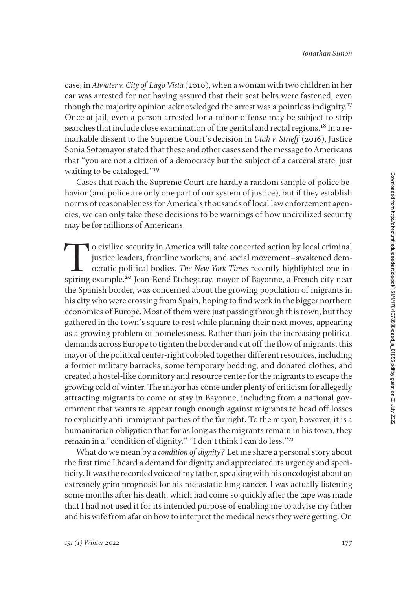case, in *Atwater v. City of Lago Vista* (2010), when a woman with two children in her car was arrested for not having assured that their seat belts were fastened, even though the majority opinion acknowledged the arrest was a pointless indignity.17 Once at jail, even a person arrested for a minor offense may be subject to strip searches that include close examination of the genital and rectal regions.18 In a remarkable dissent to the Supreme Court's decision in *Utah v. Strieff* (2016), Justice Sonia Sotomayor stated that these and other cases send the message to Americans that "you are not a citizen of a democracy but the subject of a carceral state, just waiting to be cataloged."<sup>19</sup>

Cases that reach the Supreme Court are hardly a random sample of police behavior (and police are only one part of our system of justice), but if they establish norms of reasonableness for America's thousands of local law enforcement agencies, we can only take these decisions to be warnings of how uncivilized security may be for millions of Americans.

To civilize security in America will take concerted action by local criminal justice leaders, frontline workers, and social movement–awakened democratic political bodies. *The New York Times* recently highlighted one inspiring example.20 Jean-René Etchegaray, mayor of Bayonne, a French city near the Spanish border, was concerned about the growing population of migrants in his city who were crossing from Spain, hoping to find work in the bigger northern economies of Europe. Most of them were just passing through this town, but they gathered in the town's square to rest while planning their next moves, appearing as a growing problem of homelessness. Rather than join the increasing political demands across Europe to tighten the border and cut off the flow of migrants, this mayor of the political center-right cobbled together different resources, including a former military barracks, some temporary bedding, and donated clothes, and created a hostel-like dormitory and resource center for the migrants to escape the growing cold of winter. The mayor has come under plenty of criticism for allegedly attracting migrants to come or stay in Bayonne, including from a national government that wants to appear tough enough against migrants to head off losses to explicitly anti-immigrant parties of the far right. To the mayor, however, it is a humanitarian obligation that for as long as the migrants remain in his town, they remain in a "condition of dignity." "I don't think I can do less."21

What do we mean by a *condition of dignity*? Let me share a personal story about the first time I heard a demand for dignity and appreciated its urgency and specificity. It was the recorded voice of my father, speaking with his oncologist about an extremely grim prognosis for his metastatic lung cancer. I was actually listening some months after his death, which had come so quickly after the tape was made that I had not used it for its intended purpose of enabling me to advise my father and his wife from afar on how to interpret the medical news they were getting. On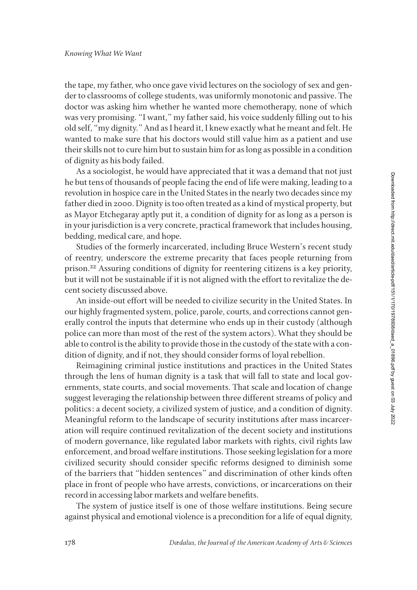the tape, my father, who once gave vivid lectures on the sociology of sex and gender to classrooms of college students, was uniformly monotonic and passive. The doctor was asking him whether he wanted more chemotherapy, none of which was very promising. "I want," my father said, his voice suddenly filling out to his old self, "my dignity." And as I heard it, I knew exactly what he meant and felt. He wanted to make sure that his doctors would still value him as a patient and use their skills not to cure him but to sustain him for as long as possible in a condition of dignity as his body failed.

As a sociologist, he would have appreciated that it was a demand that not just he but tens of thousands of people facing the end of life were making, leading to a revolution in hospice care in the United States in the nearly two decades since my father died in 2000. Dignity is too often treated as a kind of mystical property, but as Mayor Etchegaray aptly put it, a condition of dignity for as long as a person is in your jurisdiction is a very concrete, practical framework that includes housing, bedding, medical care, and hope.

Studies of the formerly incarcerated, including Bruce Western's recent study of reentry, underscore the extreme precarity that faces people returning from prison.22 Assuring conditions of dignity for reentering citizens is a key priority, but it will not be sustainable if it is not aligned with the effort to revitalize the decent society discussed above.

An inside-out effort will be needed to civilize security in the United States. In our highly fragmented system, police, parole, courts, and corrections cannot generally control the inputs that determine who ends up in their custody (although police can more than most of the rest of the system actors). What they should be able to control is the ability to provide those in the custody of the state with a condition of dignity, and if not, they should consider forms of loyal rebellion.

Reimagining criminal justice institutions and practices in the United States through the lens of human dignity is a task that will fall to state and local governments, state courts, and social movements. That scale and location of change suggest leveraging the relationship between three different streams of policy and politics: a decent society, a civilized system of justice, and a condition of dignity. Meaningful reform to the landscape of security institutions after mass incarceration will require continued revitalization of the decent society and institutions of modern governance, like regulated labor markets with rights, civil rights law enforcement, and broad welfare institutions. Those seeking legislation for a more civilized security should consider specific reforms designed to diminish some of the barriers that "hidden sentences" and discrimination of other kinds often place in front of people who have arrests, convictions, or incarcerations on their record in accessing labor markets and welfare benefits.

The system of justice itself is one of those welfare institutions. Being secure against physical and emotional violence is a precondition for a life of equal dignity,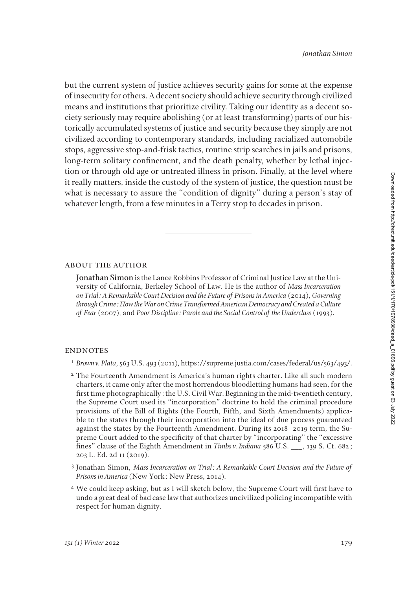but the current system of justice achieves security gains for some at the expense of insecurity for others. A decent society should achieve security through civilized means and institutions that prioritize civility. Taking our identity as a decent society seriously may require abolishing (or at least transforming) parts of our historically accumulated systems of justice and security because they simply are not civilized according to contemporary standards, including racialized automobile stops, aggressive stop-and-frisk tactics, routine strip searches in jails and prisons, long-term solitary confinement, and the death penalty, whether by lethal injection or through old age or untreated illness in prison. Finally, at the level where it really matters, inside the custody of the system of justice, the question must be what is necessary to assure the "condition of dignity" during a person's stay of whatever length, from a few minutes in a Terry stop to decades in prison.

## about the author

**Jonathan Simon** is the Lance Robbins Professor of Criminal Justice Law at the University of California, Berkeley School of Law. He is the author of *Mass Incarceration on Trial: A Remarkable Court Decision and the Future of Prisons in America* (2014), *Governing through Crime: How the War on Crime Transformed American Democracy and Created a Culture of Fear* (2007), and *Poor Discipline: Parole and the Social Control of the Underclass* (1993).

## **ENDNOTES**

- <sup>1</sup> *Brown v. Plata*, 563 U.S. 493 (2011), https://supreme.justia.com/cases/federal/us/563/493/.
- <sup>2</sup> The Fourteenth Amendment is America's human rights charter. Like all such modern charters, it came only after the most horrendous bloodletting humans had seen, for the first time photographically: the U.S. Civil War. Beginning in the mid-twentieth century, the Supreme Court used its "incorporation" doctrine to hold the criminal procedure provisions of the Bill of Rights (the Fourth, Fifth, and Sixth Amendments) applicable to the states through their incorporation into the ideal of due process guaranteed against the states by the Fourteenth Amendment. During its 2018–2019 term, the Supreme Court added to the specificity of that charter by "incorporating" the "excessive fines" clause of the Eighth Amendment in *Timbs v. Indiana* 586 U.S. \_\_\_, 139 S. Ct. 682; 203 L. Ed. 2d 11 (2019).
- <sup>3</sup> Jonathan Simon, *Mass Incarceration on Trial: A Remarkable Court Decision and the Future of Prisons in America* (New York: New Press, 2014).
- <sup>4</sup> We could keep asking, but as I will sketch below, the Supreme Court will first have to undo a great deal of bad case law that authorizes uncivilized policing incompatible with respect for human dignity.